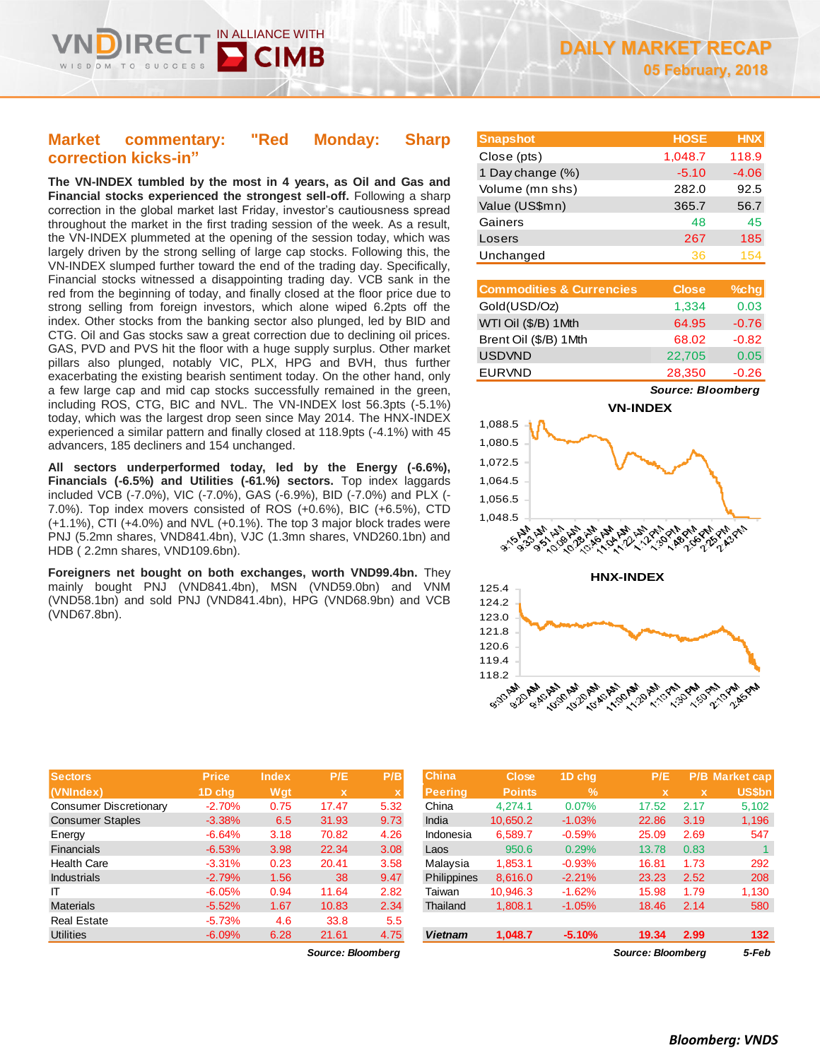# **Market commentary: "Red Monday: Sharp correction kicks-in"**

IN ALLIANCE WITH

**The VN-INDEX tumbled by the most in 4 years, as Oil and Gas and Financial stocks experienced the strongest sell-off.** Following a sharp correction in the global market last Friday, investor's cautiousness spread throughout the market in the first trading session of the week. As a result, the VN-INDEX plummeted at the opening of the session today, which was largely driven by the strong selling of large cap stocks. Following this, the VN-INDEX slumped further toward the end of the trading day. Specifically, Financial stocks witnessed a disappointing trading day. VCB sank in the red from the beginning of today, and finally closed at the floor price due to strong selling from foreign investors, which alone wiped 6.2pts off the index. Other stocks from the banking sector also plunged, led by BID and CTG. Oil and Gas stocks saw a great correction due to declining oil prices. GAS, PVD and PVS hit the floor with a huge supply surplus. Other market pillars also plunged, notably VIC, PLX, HPG and BVH, thus further exacerbating the existing bearish sentiment today. On the other hand, only a few large cap and mid cap stocks successfully remained in the green, including ROS, CTG, BIC and NVL. The VN-INDEX lost 56.3pts (-5.1%) today, which was the largest drop seen since May 2014. The HNX-INDEX experienced a similar pattern and finally closed at 118.9pts (-4.1%) with 45 advancers, 185 decliners and 154 unchanged.

**All sectors underperformed today, led by the Energy (-6.6%), Financials (-6.5%) and Utilities (-61.%) sectors.** Top index laggards included VCB (-7.0%), VIC (-7.0%), GAS (-6.9%), BID (-7.0%) and PLX (- 7.0%). Top index movers consisted of ROS (+0.6%), BIC (+6.5%), CTD (+1.1%), CTI (+4.0%) and NVL (+0.1%). The top 3 major block trades were PNJ (5.2mn shares, VND841.4bn), VJC (1.3mn shares, VND260.1bn) and HDB ( 2.2mn shares, VND109.6bn).

**Foreigners net bought on both exchanges, worth VND99.4bn.** They mainly bought PNJ (VND841.4bn), MSN (VND59.0bn) and VNM (VND58.1bn) and sold PNJ (VND841.4bn), HPG (VND68.9bn) and VCB (VND67.8bn).

| Close (pts)      | 1,048.7 | 118.9   |
|------------------|---------|---------|
| 1 Day change (%) | $-5.10$ | $-4.06$ |
| Volume (mn shs)  | 282.0   | 92.5    |
| Value (US\$mn)   | 365.7   | 56.7    |
| Gainers          | 48      | 45      |
| Losers           | 267     | 185     |
| Unchanged        | 36      | 154     |
|                  |         |         |

**Snapshot HOSE HNX**

| <b>Commodities &amp; Currencies</b> | <b>Close</b> | $%$ chg |
|-------------------------------------|--------------|---------|
| Gold(USD/Oz)                        | 1,334        | 0.03    |
| WTI Oil (\$/B) 1Mth                 | 64.95        | $-0.76$ |
| Brent Oil (\$/B) 1Mth               | 68.02        | $-0.82$ |
| <b>USDVND</b>                       | 22,705       | 0.05    |
| <b>EURVND</b>                       | 28,350       | $-0.26$ |

*Source: Bloomberg*





| <b>Sectors</b>          | <b>Price</b> | <b>Index</b> | P/E         | P/B  | <b>China</b>   | <b>Close</b>  | 1D chg        | P/E   |      | P/B Market cap |
|-------------------------|--------------|--------------|-------------|------|----------------|---------------|---------------|-------|------|----------------|
| (VNIndex)               | 1D chq       | Wqt          | $\mathbf x$ |      | <b>Peering</b> | <b>Points</b> | $\frac{9}{6}$ |       |      | <b>US\$bn</b>  |
| Consumer Discretionary  | $-2.70%$     | 0.75         | 17.47       | 5.32 | China          | 4.274.1       | 0.07%         | 17.52 | 2.17 | 5,102          |
| <b>Consumer Staples</b> | $-3.38%$     | 6.5          | 31.93       | 9.73 | India          | 10,650.2      | $-1.03%$      | 22.86 | 3.19 | 1,196          |
| Energy                  | $-6.64%$     | 3.18         | 70.82       | 4.26 | Indonesia      | 6,589.7       | $-0.59%$      | 25.09 | 2.69 | 547            |
| Financials              | $-6.53%$     | 3.98         | 22.34       | 3.08 | Laos           | 950.6         | 0.29%         | 13.78 | 0.83 |                |
| <b>Health Care</b>      | $-3.31%$     | 0.23         | 20.41       | 3.58 | Malaysia       | 1,853.1       | $-0.93%$      | 16.81 | 1.73 | 292            |
| <b>Industrials</b>      | $-2.79%$     | 1.56         | 38          | 9.47 | Philippines    | 8,616.0       | $-2.21%$      | 23.23 | 2.52 | 208            |
| IT                      | $-6.05%$     | 0.94         | 11.64       | 2.82 | Taiwan         | 10,946.3      | $-1.62%$      | 15.98 | 1.79 | 1,130          |
| <b>Materials</b>        | $-5.52%$     | 1.67         | 10.83       | 2.34 | Thailand       | 1,808.1       | $-1.05%$      | 18.46 | 2.14 | 580            |
| <b>Real Estate</b>      | $-5.73%$     | 4.6          | 33.8        | 5.5  |                |               |               |       |      |                |
| <b>Utilities</b>        | $-6.09%$     | 6.28         | 21.61       | 4.75 | <b>Vietnam</b> | 1,048.7       | $-5.10%$      | 19.34 | 2.99 | 132            |

*Source: Bloomberg Source: Bloomberg 5-Feb*

| China          | Close         | 1D chq   | P/E                      |             | <b>P/B</b> Market cap |
|----------------|---------------|----------|--------------------------|-------------|-----------------------|
| <b>Peering</b> | <b>Points</b> | $\%$     | x                        | $\mathbf x$ | <b>US\$bn</b>         |
| China          | 4.274.1       | 0.07%    | 17.52                    | 2.17        | 5,102                 |
| India          | 10,650.2      | $-1.03%$ | 22.86                    | 3.19        | 1,196                 |
| Indonesia      | 6.589.7       | $-0.59%$ | 25.09                    | 2.69        | 547                   |
| Laos           | 950.6         | 0.29%    | 13.78                    | 0.83        | 1                     |
| Malaysia       | 1.853.1       | $-0.93%$ | 16.81                    | 1.73        | 292                   |
| Philippines    | 8,616.0       | $-2.21%$ | 23.23                    | 2.52        | 208                   |
| Taiwan         | 10,946.3      | $-1.62%$ | 15.98                    | 1.79        | 1,130                 |
| Thailand       | 1,808.1       | $-1.05%$ | 18.46                    | 2.14        | 580                   |
|                |               |          |                          |             |                       |
| <b>Vietnam</b> | 1,048.7       | $-5.10%$ | 19.34                    | 2.99        | 132                   |
|                |               |          | <b>Source: Bloombera</b> | 5-Feb       |                       |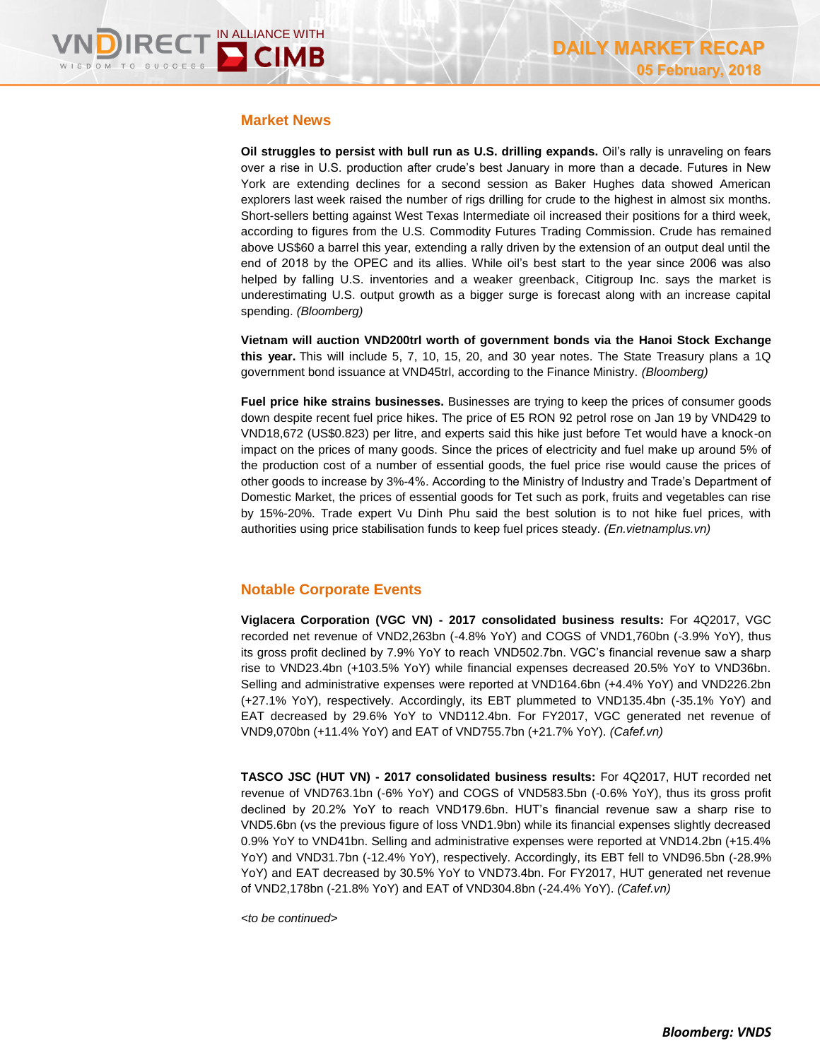### **Market News**

**Oil struggles to persist with bull run as U.S. drilling expands.** Oil's rally is unraveling on fears over a rise in U.S. production after crude's best January in more than a decade. Futures in New York are extending declines for a second session as Baker Hughes data showed American explorers last week raised the number of rigs drilling for crude to the highest in almost six months. Short-sellers betting against West Texas Intermediate oil increased their positions for a third week, according to figures from the U.S. Commodity Futures Trading Commission. Crude has remained above US\$60 a barrel this year, extending a rally driven by the extension of an output deal until the end of 2018 by the OPEC and its allies. While oil's best start to the year since 2006 was also helped by falling U.S. inventories and a weaker greenback, Citigroup Inc. says the market is underestimating U.S. output growth as a bigger surge is forecast along with an increase capital spending. *(Bloomberg)*

**Vietnam will auction VND200trl worth of government bonds via the Hanoi Stock Exchange this year.** This will include 5, 7, 10, 15, 20, and 30 year notes. The State Treasury plans a 1Q government bond issuance at VND45trl, according to the Finance Ministry. *(Bloomberg)*

**Fuel price hike strains businesses.** Businesses are trying to keep the prices of consumer goods down despite recent fuel price hikes. The price of E5 RON 92 petrol rose on Jan 19 by VND429 to VND18,672 (US\$0.823) per litre, and experts said this hike just before Tet would have a knock-on impact on the prices of many goods. Since the prices of electricity and fuel make up around 5% of the production cost of a number of essential goods, the fuel price rise would cause the prices of other goods to increase by 3%-4%. According to the Ministry of Industry and Trade's Department of Domestic Market, the prices of essential goods for Tet such as pork, fruits and vegetables can rise by 15%-20%. Trade expert Vu Dinh Phu said the best solution is to not hike fuel prices, with authorities using price stabilisation funds to keep fuel prices steady. *(En.vietnamplus.vn)*

## **Notable Corporate Events**

**Viglacera Corporation (VGC VN) - 2017 consolidated business results:** For 4Q2017, VGC recorded net revenue of VND2,263bn (-4.8% YoY) and COGS of VND1,760bn (-3.9% YoY), thus its gross profit declined by 7.9% YoY to reach VND502.7bn. VGC's financial revenue saw a sharp rise to VND23.4bn (+103.5% YoY) while financial expenses decreased 20.5% YoY to VND36bn. Selling and administrative expenses were reported at VND164.6bn (+4.4% YoY) and VND226.2bn (+27.1% YoY), respectively. Accordingly, its EBT plummeted to VND135.4bn (-35.1% YoY) and EAT decreased by 29.6% YoY to VND112.4bn. For FY2017, VGC generated net revenue of VND9,070bn (+11.4% YoY) and EAT of VND755.7bn (+21.7% YoY). *(Cafef.vn)*

**TASCO JSC (HUT VN) - 2017 consolidated business results:** For 4Q2017, HUT recorded net revenue of VND763.1bn (-6% YoY) and COGS of VND583.5bn (-0.6% YoY), thus its gross profit declined by 20.2% YoY to reach VND179.6bn. HUT's financial revenue saw a sharp rise to VND5.6bn (vs the previous figure of loss VND1.9bn) while its financial expenses slightly decreased 0.9% YoY to VND41bn. Selling and administrative expenses were reported at VND14.2bn (+15.4% YoY) and VND31.7bn (-12.4% YoY), respectively. Accordingly, its EBT fell to VND96.5bn (-28.9% YoY) and EAT decreased by 30.5% YoY to VND73.4bn. For FY2017, HUT generated net revenue of VND2,178bn (-21.8% YoY) and EAT of VND304.8bn (-24.4% YoY). *(Cafef.vn)*

*<to be continued>*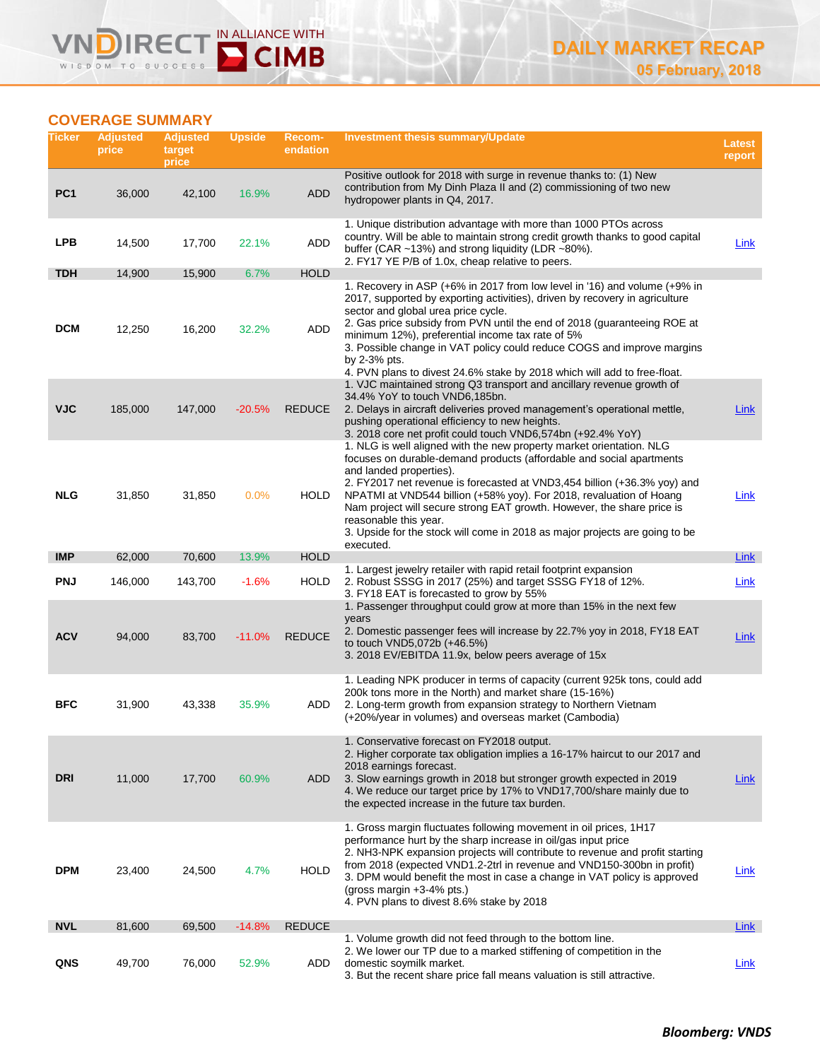# **COVERAGE SUMMARY**

**DIRE** 

WISDOM TO

=(

 $0.0588$ 

 $\boldsymbol{\mathsf{V}}$ 

IN ALLIANCE WITH

**D** CIMB

| Ticker          | <b>Adjusted</b><br>price | <b>Adjusted</b><br>target<br>price | <b>Upside</b> | Recom-<br>endation | <b>Investment thesis summary/Update</b>                                                                                                                                                                                                                                                                                                                                                                                                                                                                                                                                                                          | <b>Latest</b><br>report |
|-----------------|--------------------------|------------------------------------|---------------|--------------------|------------------------------------------------------------------------------------------------------------------------------------------------------------------------------------------------------------------------------------------------------------------------------------------------------------------------------------------------------------------------------------------------------------------------------------------------------------------------------------------------------------------------------------------------------------------------------------------------------------------|-------------------------|
| PC <sub>1</sub> | 36,000                   | 42,100                             | 16.9%         | <b>ADD</b>         | Positive outlook for 2018 with surge in revenue thanks to: (1) New<br>contribution from My Dinh Plaza II and (2) commissioning of two new<br>hydropower plants in Q4, 2017.                                                                                                                                                                                                                                                                                                                                                                                                                                      |                         |
| <b>LPB</b>      | 14,500                   | 17,700                             | 22.1%         | ADD                | 1. Unique distribution advantage with more than 1000 PTOs across<br>country. Will be able to maintain strong credit growth thanks to good capital<br>buffer (CAR $\sim$ 13%) and strong liquidity (LDR $\sim$ 80%).<br>2. FY17 YE P/B of 1.0x, cheap relative to peers.                                                                                                                                                                                                                                                                                                                                          | <b>Link</b>             |
| <b>TDH</b>      | 14,900                   | 15,900                             | 6.7%          | <b>HOLD</b>        |                                                                                                                                                                                                                                                                                                                                                                                                                                                                                                                                                                                                                  |                         |
| <b>DCM</b>      | 12,250                   | 16,200                             | 32.2%         | ADD                | 1. Recovery in ASP (+6% in 2017 from low level in '16) and volume (+9% in<br>2017, supported by exporting activities), driven by recovery in agriculture<br>sector and global urea price cycle.<br>2. Gas price subsidy from PVN until the end of 2018 (guaranteeing ROE at<br>minimum 12%), preferential income tax rate of 5%<br>3. Possible change in VAT policy could reduce COGS and improve margins<br>by 2-3% pts.<br>4. PVN plans to divest 24.6% stake by 2018 which will add to free-float.<br>1. VJC maintained strong Q3 transport and ancillary revenue growth of<br>34.4% YoY to touch VND6,185bn. |                         |
| <b>VJC</b>      | 185,000                  | 147,000                            | $-20.5%$      | <b>REDUCE</b>      | 2. Delays in aircraft deliveries proved management's operational mettle,<br>pushing operational efficiency to new heights.                                                                                                                                                                                                                                                                                                                                                                                                                                                                                       | Link                    |
| <b>NLG</b>      | 31,850                   | 31,850                             | 0.0%          | <b>HOLD</b>        | 3. 2018 core net profit could touch VND6,574bn (+92.4% YoY)<br>1. NLG is well aligned with the new property market orientation. NLG<br>focuses on durable-demand products (affordable and social apartments<br>and landed properties).<br>2. FY2017 net revenue is forecasted at VND3,454 billion (+36.3% yoy) and<br>NPATMI at VND544 billion (+58% yoy). For 2018, revaluation of Hoang<br>Nam project will secure strong EAT growth. However, the share price is<br>reasonable this year.<br>3. Upside for the stock will come in 2018 as major projects are going to be<br>executed.                         | Link                    |
| <b>IMP</b>      | 62,000                   | 70,600                             | 13.9%         | <b>HOLD</b>        |                                                                                                                                                                                                                                                                                                                                                                                                                                                                                                                                                                                                                  | Link                    |
| <b>PNJ</b>      | 146,000                  | 143,700                            | $-1.6%$       | <b>HOLD</b>        | 1. Largest jewelry retailer with rapid retail footprint expansion<br>2. Robust SSSG in 2017 (25%) and target SSSG FY18 of 12%.<br>3. FY18 EAT is forecasted to grow by 55%                                                                                                                                                                                                                                                                                                                                                                                                                                       | Link                    |
| <b>ACV</b>      | 94,000                   | 83,700                             | $-11.0%$      | <b>REDUCE</b>      | 1. Passenger throughput could grow at more than 15% in the next few<br>years<br>2. Domestic passenger fees will increase by 22.7% yoy in 2018, FY18 EAT<br>to touch VND5,072b (+46.5%)<br>3. 2018 EV/EBITDA 11.9x, below peers average of 15x                                                                                                                                                                                                                                                                                                                                                                    | <b>Link</b>             |
| <b>BFC</b>      | 31,900                   | 43,338                             | 35.9%         | ADD                | 1. Leading NPK producer in terms of capacity (current 925k tons, could add<br>200k tons more in the North) and market share (15-16%)<br>2. Long-term growth from expansion strategy to Northern Vietnam<br>(+20%/year in volumes) and overseas market (Cambodia)                                                                                                                                                                                                                                                                                                                                                 |                         |
| <b>DRI</b>      | 11,000                   | 17,700                             | 60.9%         | ADD                | 1. Conservative forecast on FY2018 output.<br>2. Higher corporate tax obligation implies a 16-17% haircut to our 2017 and<br>2018 earnings forecast.<br>3. Slow earnings growth in 2018 but stronger growth expected in 2019<br>4. We reduce our target price by 17% to VND17,700/share mainly due to<br>the expected increase in the future tax burden.                                                                                                                                                                                                                                                         | Link                    |
| <b>DPM</b>      | 23,400                   | 24,500                             | 4.7%          | <b>HOLD</b>        | 1. Gross margin fluctuates following movement in oil prices, 1H17<br>performance hurt by the sharp increase in oil/gas input price<br>2. NH3-NPK expansion projects will contribute to revenue and profit starting<br>from 2018 (expected VND1.2-2trl in revenue and VND150-300bn in profit)<br>3. DPM would benefit the most in case a change in VAT policy is approved<br>(gross margin $+3-4\%$ pts.)<br>4. PVN plans to divest 8.6% stake by 2018                                                                                                                                                            | Link                    |
| <b>NVL</b>      | 81,600                   | 69,500                             | $-14.8%$      | <b>REDUCE</b>      |                                                                                                                                                                                                                                                                                                                                                                                                                                                                                                                                                                                                                  | Link                    |
| QNS             | 49,700                   | 76,000                             | 52.9%         | ADD                | 1. Volume growth did not feed through to the bottom line.<br>2. We lower our TP due to a marked stiffening of competition in the<br>domestic soymilk market.<br>3. But the recent share price fall means valuation is still attractive.                                                                                                                                                                                                                                                                                                                                                                          | Link                    |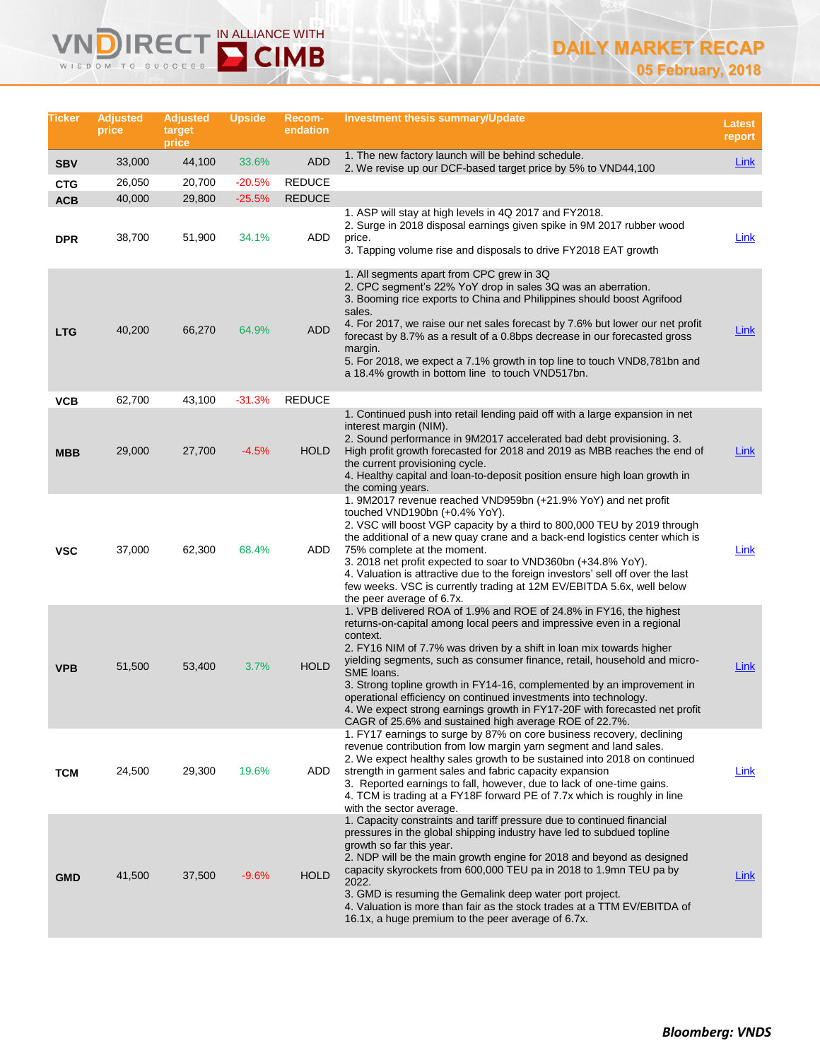# IN ALLIANCE WITH **IRE** WISDOM TO SUCCESS

 $\checkmark$ 

# **DAILY MARKET RECAP 05 February, 2018**

| Ticker     | <b>Adjusted</b><br>price | <b>Adjusted</b><br>target<br>price | <b>Upside</b> | Recom-<br>endation | <b>Investment thesis summary/Update</b>                                                                                                                                                                                                                                                                                                                                                                                                                                                                                                                                                                           | Latest<br>report |
|------------|--------------------------|------------------------------------|---------------|--------------------|-------------------------------------------------------------------------------------------------------------------------------------------------------------------------------------------------------------------------------------------------------------------------------------------------------------------------------------------------------------------------------------------------------------------------------------------------------------------------------------------------------------------------------------------------------------------------------------------------------------------|------------------|
| <b>SBV</b> | 33,000                   | 44,100                             | 33.6%         | <b>ADD</b>         | 1. The new factory launch will be behind schedule.<br>2. We revise up our DCF-based target price by 5% to VND44,100                                                                                                                                                                                                                                                                                                                                                                                                                                                                                               | <b>Link</b>      |
| <b>CTG</b> | 26,050                   | 20,700                             | $-20.5%$      | <b>REDUCE</b>      |                                                                                                                                                                                                                                                                                                                                                                                                                                                                                                                                                                                                                   |                  |
| <b>ACB</b> | 40,000                   | 29,800                             | $-25.5%$      | <b>REDUCE</b>      |                                                                                                                                                                                                                                                                                                                                                                                                                                                                                                                                                                                                                   |                  |
| <b>DPR</b> | 38,700                   | 51,900                             | 34.1%         | ADD                | 1. ASP will stay at high levels in 4Q 2017 and FY2018.<br>2. Surge in 2018 disposal earnings given spike in 9M 2017 rubber wood<br>price.<br>3. Tapping volume rise and disposals to drive FY2018 EAT growth                                                                                                                                                                                                                                                                                                                                                                                                      | Link             |
| <b>LTG</b> | 40,200                   | 66,270                             | 64.9%         | ADD                | 1. All segments apart from CPC grew in 3Q<br>2. CPC segment's 22% YoY drop in sales 3Q was an aberration.<br>3. Booming rice exports to China and Philippines should boost Agrifood<br>sales.<br>4. For 2017, we raise our net sales forecast by 7.6% but lower our net profit<br>forecast by 8.7% as a result of a 0.8bps decrease in our forecasted gross<br>margin.<br>5. For 2018, we expect a 7.1% growth in top line to touch VND8,781bn and                                                                                                                                                                | <b>Link</b>      |
|            |                          |                                    |               |                    | a 18.4% growth in bottom line to touch VND517bn.                                                                                                                                                                                                                                                                                                                                                                                                                                                                                                                                                                  |                  |
| <b>VCB</b> | 62,700                   | 43,100                             | $-31.3%$      | <b>REDUCE</b>      |                                                                                                                                                                                                                                                                                                                                                                                                                                                                                                                                                                                                                   |                  |
| <b>MBB</b> | 29,000                   | 27,700                             | $-4.5%$       | <b>HOLD</b>        | 1. Continued push into retail lending paid off with a large expansion in net<br>interest margin (NIM).<br>2. Sound performance in 9M2017 accelerated bad debt provisioning. 3.<br>High profit growth forecasted for 2018 and 2019 as MBB reaches the end of<br>the current provisioning cycle.<br>4. Healthy capital and loan-to-deposit position ensure high loan growth in<br>the coming years.                                                                                                                                                                                                                 | <b>Link</b>      |
| <b>VSC</b> | 37,000                   | 62,300                             | 68.4%         | ADD                | 1. 9M2017 revenue reached VND959bn (+21.9% YoY) and net profit<br>touched VND190bn (+0.4% YoY).<br>2. VSC will boost VGP capacity by a third to 800,000 TEU by 2019 through<br>the additional of a new quay crane and a back-end logistics center which is<br>75% complete at the moment.<br>3. 2018 net profit expected to soar to VND360bn (+34.8% YoY).<br>4. Valuation is attractive due to the foreign investors' sell off over the last<br>few weeks. VSC is currently trading at 12M EV/EBITDA 5.6x, well below<br>the peer average of 6.7x.                                                               | <u>Link</u>      |
| <b>VPB</b> | 51,500                   | 53,400                             | 3.7%          | <b>HOLD</b>        | 1. VPB delivered ROA of 1.9% and ROE of 24.8% in FY16, the highest<br>returns-on-capital among local peers and impressive even in a regional<br>context.<br>2. FY16 NIM of 7.7% was driven by a shift in loan mix towards higher<br>yielding segments, such as consumer finance, retail, household and micro-<br>SME loans.<br>3. Strong topline growth in FY14-16, complemented by an improvement in<br>operational efficiency on continued investments into technology.<br>4. We expect strong earnings growth in FY17-20F with forecasted net profit<br>CAGR of 25.6% and sustained high average ROE of 22.7%. | <b>Link</b>      |
| <b>TCM</b> | 24,500                   | 29,300                             | 19.6%         | ADD                | 1. FY17 earnings to surge by 87% on core business recovery, declining<br>revenue contribution from low margin yarn segment and land sales.<br>2. We expect healthy sales growth to be sustained into 2018 on continued<br>strength in garment sales and fabric capacity expansion<br>3. Reported earnings to fall, however, due to lack of one-time gains.<br>4. TCM is trading at a FY18F forward PE of 7.7x which is roughly in line<br>with the sector average.                                                                                                                                                | <u>Link</u>      |
| <b>GMD</b> | 41,500                   | 37,500                             | $-9.6%$       | <b>HOLD</b>        | 1. Capacity constraints and tariff pressure due to continued financial<br>pressures in the global shipping industry have led to subdued topline<br>growth so far this year.<br>2. NDP will be the main growth engine for 2018 and beyond as designed<br>capacity skyrockets from 600,000 TEU pa in 2018 to 1.9mn TEU pa by<br>2022.<br>3. GMD is resuming the Gemalink deep water port project.<br>4. Valuation is more than fair as the stock trades at a TTM EV/EBITDA of<br>16.1x, a huge premium to the peer average of 6.7x.                                                                                 | <u>Link</u>      |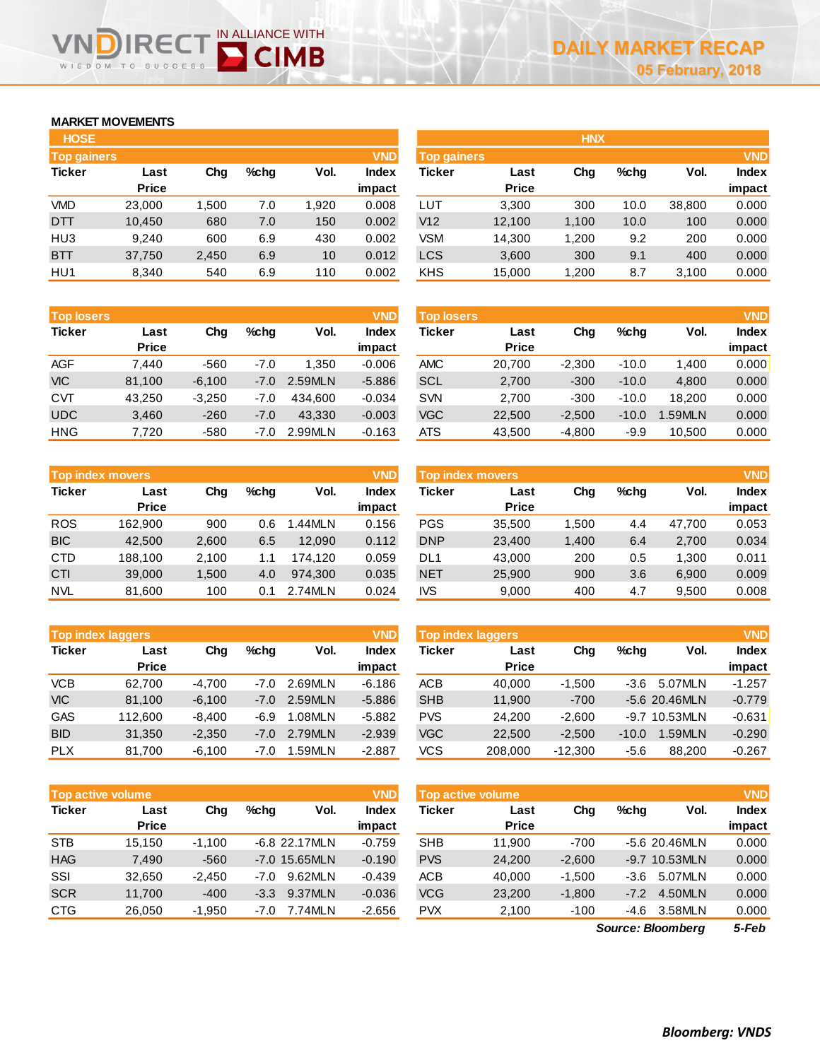## **MARKET MOVEMENTS**

WISDOM TO

**IRE** 

| <b>HOSE</b>        |        |       |      |       |              |
|--------------------|--------|-------|------|-------|--------------|
| <b>Top gainers</b> |        |       |      |       | <b>VND</b>   |
| <b>Ticker</b>      | Last   | Cha   | %chq | Vol.  | <b>Index</b> |
|                    | Price  |       |      |       | impact       |
| VMD                | 23,000 | 1,500 | 7.0  | 1.920 | 0.008        |
| <b>DTT</b>         | 10,450 | 680   | 7.0  | 150   | 0.002        |
| HU3                | 9.240  | 600   | 6.9  | 430   | 0.002        |
| <b>BTT</b>         | 37,750 | 2,450 | 6.9  | 10    | 0.012        |
| HU1                | 8,340  | 540   | 6.9  | 110   | 0.002        |

IN ALLIANCE WITH

**D** CIMB

| <b>Top losers</b> |              |          |        |         | <b>VND</b>   |
|-------------------|--------------|----------|--------|---------|--------------|
| <b>Ticker</b>     | Last         | Cha      | %chq   | Vol.    | <b>Index</b> |
|                   | <b>Price</b> |          |        |         | impact       |
| <b>AGF</b>        | 7.440        | $-560$   | $-7.0$ | 1.350   | $-0.006$     |
| <b>VIC</b>        | 81,100       | $-6,100$ | $-7.0$ | 2.59MLN | $-5.886$     |
| <b>CVT</b>        | 43,250       | $-3,250$ | $-7.0$ | 434.600 | $-0.034$     |
| <b>UDC</b>        | 3,460        | $-260$   | $-7.0$ | 43,330  | $-0.003$     |
| <b>HNG</b>        | 7.720        | $-580$   | $-7.0$ | 2.99MLN | $-0.163$     |

|               | <b>Top index movers</b> |       |      |         |        |  |  |  |  |  |  |
|---------------|-------------------------|-------|------|---------|--------|--|--|--|--|--|--|
| <b>Ticker</b> | Last                    | Cha   | %chq | Vol.    | Index  |  |  |  |  |  |  |
|               | <b>Price</b>            |       |      |         | impact |  |  |  |  |  |  |
| <b>ROS</b>    | 162,900                 | 900   | 0.6  | 1.44MLN | 0.156  |  |  |  |  |  |  |
| <b>BIC</b>    | 42,500                  | 2,600 | 6.5  | 12,090  | 0.112  |  |  |  |  |  |  |
| <b>CTD</b>    | 188,100                 | 2,100 | 1.1  | 174,120 | 0.059  |  |  |  |  |  |  |
| CTI           | 39,000                  | 1,500 | 4.0  | 974.300 | 0.035  |  |  |  |  |  |  |
| <b>NVL</b>    | 81,600                  | 100   | 0.1  | 2.74MLN | 0.024  |  |  |  |  |  |  |

|               | <b>VND</b><br><b>Top index laggers</b> |          |        |         |              |  |  |  |  |  |  |
|---------------|----------------------------------------|----------|--------|---------|--------------|--|--|--|--|--|--|
| <b>Ticker</b> | Last                                   | Cha      | %chq   | Vol.    | <b>Index</b> |  |  |  |  |  |  |
|               | <b>Price</b>                           |          |        |         | impact       |  |  |  |  |  |  |
| <b>VCB</b>    | 62,700                                 | $-4,700$ | $-7.0$ | 2.69MLN | $-6.186$     |  |  |  |  |  |  |
| <b>VIC</b>    | 81,100                                 | $-6,100$ | $-7.0$ | 2.59MLN | $-5.886$     |  |  |  |  |  |  |
| <b>GAS</b>    | 112,600                                | $-8,400$ | -6.9   | 1.08MLN | $-5.882$     |  |  |  |  |  |  |
| <b>BID</b>    | 31,350                                 | $-2,350$ | $-7.0$ | 2.79MLN | $-2.939$     |  |  |  |  |  |  |
| <b>PLX</b>    | 81,700                                 | $-6,100$ | $-7.0$ | 1.59MLN | $-2.887$     |  |  |  |  |  |  |

| <b>Top active volume</b> |              |          |        | <b>VND</b>      | <b>Top active volume</b> |            |              |          |         | <b>VND</b>     |              |
|--------------------------|--------------|----------|--------|-----------------|--------------------------|------------|--------------|----------|---------|----------------|--------------|
| Ticker                   | Last         | Chg      | %chq   | Vol.            | Index                    | Ticker     | Last         | Chg      | $%$ chq | Vol.           | <b>Index</b> |
|                          | <b>Price</b> |          |        |                 | impact                   |            | <b>Price</b> |          |         |                | impact       |
| <b>STB</b>               | 15.150       | $-1.100$ |        | $-6.8$ 22.17MLN | $-0.759$                 | <b>SHB</b> | 11.900       | $-700$   |         | $-5.620.46MLN$ | 0.000        |
| <b>HAG</b>               | 7,490        | $-560$   |        | $-7.0$ 15.65MLN | $-0.190$                 | <b>PVS</b> | 24,200       | $-2,600$ |         | -9.7 10.53MLN  | 0.000        |
| SSI                      | 32.650       | -2.450   | $-7.0$ | 9.62MLN         | $-0.439$                 | <b>ACB</b> | 40.000       | $-1.500$ | -3.6    | 5.07MLN        | 0.000        |
| <b>SCR</b>               | 11.700       | $-400$   | $-3.3$ | 9.37MLN         | $-0.036$                 | <b>VCG</b> | 23,200       | $-1.800$ | $-7.2$  | 4.50MLN        | 0.000        |
| <b>CTG</b>               | 26.050       | -1.950   | $-7.0$ | 7.74MLN         | $-2.656$                 | <b>PVX</b> | 2.100        | $-100$   | -4.6    | 3.58MLN        | 0.000        |

| <b>HOSE</b>        |              |       |      |      |              | <b>HNX</b>         |              |       |         |        |              |
|--------------------|--------------|-------|------|------|--------------|--------------------|--------------|-------|---------|--------|--------------|
| <b>Top gainers</b> |              |       |      |      | <b>VND</b>   | <b>Top gainers</b> |              |       |         |        | <b>VND</b>   |
| Ticker             | Last         | Chg   | %chg | Vol. | <b>Index</b> | Ticker             | Last         | Chg   | $%$ chg | Vol.   | <b>Index</b> |
|                    | <b>Price</b> |       |      |      | impact       |                    | <b>Price</b> |       |         |        | impact       |
| VMD                | 23,000       | 1,500 | 7.0  | .920 | 0.008        | LUT                | 3,300        | 300   | 10.0    | 38,800 | 0.000        |
| DTT                | 10,450       | 680   | 7.0  | 150  | 0.002        | V12                | 12,100       | 1,100 | 10.0    | 100    | 0.000        |
| HU3                | 9,240        | 600   | 6.9  | 430  | 0.002        | VSM                | 14,300       | 1,200 | 9.2     | 200    | 0.000        |
| <b>BTT</b>         | 37,750       | 2,450 | 6.9  | 10   | 0.012        | <b>LCS</b>         | 3,600        | 300   | 9.1     | 400    | 0.000        |
| HU1                | 8,340        | 540   | 6.9  | 110  | 0.002        | KHS                | 15,000       | 1,200 | 8.7     | 3,100  | 0.000        |
|                    |              |       |      |      |              |                    |              |       |         |        |              |

| <b>Top losers</b> |                      |          |        |         | <b>VND</b>      | <b>Top losers</b> |                      |          |         |        | <b>VND</b>             |
|-------------------|----------------------|----------|--------|---------|-----------------|-------------------|----------------------|----------|---------|--------|------------------------|
| Ticker            | Last<br><b>Price</b> | Chg      | %chq   | Vol.    | Index<br>impact | <b>Ticker</b>     | Last<br><b>Price</b> | Chg      | $%$ chq | Vol.   | <b>Index</b><br>impact |
| AGF               | 7.440                | $-560$   | $-7.0$ | 1.350   | $-0.006$        | <b>AMC</b>        | 20.700               | $-2.300$ | $-10.0$ | 1.400  | 0.000                  |
| <b>VIC</b>        | 81,100               | $-6,100$ | $-7.0$ | 2.59MLN | $-5.886$        | <b>SCL</b>        | 2,700                | $-300$   | $-10.0$ | 4,800  | 0.000                  |
| CVT               | 43.250               | $-3.250$ | -7.0   | 434.600 | $-0.034$        | <b>SVN</b>        | 2.700                | $-300$   | $-10.0$ | 18.200 | 0.000                  |
| <b>UDC</b>        | 3,460                | $-260$   | $-7.0$ | 43.330  | $-0.003$        | <b>VGC</b>        | 22,500               | $-2.500$ | $-10.0$ | .59MLN | 0.000                  |
| HNG               | 7,720                | $-580$   | -7.0   | 2.99MLN | $-0.163$        | <b>ATS</b>        | 43,500               | $-4,800$ | $-9.9$  | 10.500 | 0.000                  |

|            | <b>Top index movers</b> |       |      |           | <b>VND</b>   | <b>Top index movers</b> |              | <b>VND</b> |         |        |              |
|------------|-------------------------|-------|------|-----------|--------------|-------------------------|--------------|------------|---------|--------|--------------|
| Ticker     | Last                    | Chg   | %chq | Vol.      | <b>Index</b> | Ticker                  | Last         | Chg        | $%$ chq | Vol.   | <b>Index</b> |
|            | <b>Price</b>            |       |      |           | impact       |                         | <b>Price</b> |            |         |        | impact       |
| ROS        | 162.900                 | 900   | 0.6  | $.44$ MLN | 0.156        | <b>PGS</b>              | 35.500       | .500       | 4.4     | 47.700 | 0.053        |
| <b>BIC</b> | 42.500                  | 2,600 | 6.5  | 12.090    | 0.112        | <b>DNP</b>              | 23,400       | 1.400      | 6.4     | 2.700  | 0.034        |
| CTD        | 188.100                 | 2,100 | 1.1  | 174.120   | 0.059        | DL1                     | 43,000       | 200        | 0.5     | 1.300  | 0.011        |
| <b>CTI</b> | 39,000                  | 1.500 | 4.0  | 974.300   | 0.035        | <b>NET</b>              | 25,900       | 900        | 3.6     | 6.900  | 0.009        |
| NVL        | 81.600                  | 100   | 0.1  | 2.74MLN   | 0.024        | <b>IVS</b>              | 9,000        | 400        | 4.7     | 9,500  | 0.008        |

| <b>Top index laggers</b> |              |          |        |         | <b>VND</b>   | Top index laggers |              |           |         |                 |              |
|--------------------------|--------------|----------|--------|---------|--------------|-------------------|--------------|-----------|---------|-----------------|--------------|
| Ticker                   | Last         | Chg      | %chq   | Vol.    | <b>Index</b> | Ticker            | Last         | Chg       | $%$ chq | Vol.            | <b>Index</b> |
|                          | <b>Price</b> |          |        |         | impact       |                   | <b>Price</b> |           |         |                 | impact       |
| VCB                      | 62.700       | $-4.700$ | $-7.0$ | 2.69MLN | $-6.186$     | <b>ACB</b>        | 40.000       | $-1.500$  | -3.6    | 5.07MLN         | $-1.257$     |
| <b>VIC</b>               | 81.100       | $-6,100$ | $-7.0$ | 2.59MLN | $-5.886$     | <b>SHB</b>        | 11,900       | $-700$    |         | $-5.6$ 20.46MLN | $-0.779$     |
| GAS                      | 112,600      | $-8.400$ | -6.9   | 1.08MLN | $-5.882$     | <b>PVS</b>        | 24.200       | $-2.600$  |         | -9.7 10.53MLN   | $-0.631$     |
| <b>BID</b>               | 31.350       | $-2.350$ | $-7.0$ | 2.79MLN | $-2.939$     | <b>VGC</b>        | 22,500       | $-2.500$  | $-10.0$ | <b>.59MLN</b>   | $-0.290$     |
| <b>PLX</b>               | 81,700       | $-6,100$ | -7.0   | 1.59MLN | $-2.887$     | VCS               | 208,000      | $-12,300$ | $-5.6$  | 88,200          | $-0.267$     |

| <b>Top active volume</b> |                      |          |         |               | <b>VND</b>             |
|--------------------------|----------------------|----------|---------|---------------|------------------------|
| <b>Ticker</b>            | Last<br><b>Price</b> | Cha      | $%$ chq | Vol.          | <b>Index</b><br>impact |
| <b>SHB</b>               | 11,900               | $-700$   |         | -5.6 20.46MLN | 0.000                  |
| <b>PVS</b>               | 24,200               | $-2,600$ |         | -9.7 10.53MLN | 0.000                  |
| <b>ACB</b>               | 40.000               | $-1,500$ | $-3.6$  | 5.07MLN       | 0.000                  |
| <b>VCG</b>               | 23,200               | $-1,800$ | $-7.2$  | 4.50MLN       | 0.000                  |
| <b>PVX</b>               | 2,100                | $-100$   | $-4.6$  | 3.58MLN       | 0.000                  |

*5-Feb Source: Bloomberg*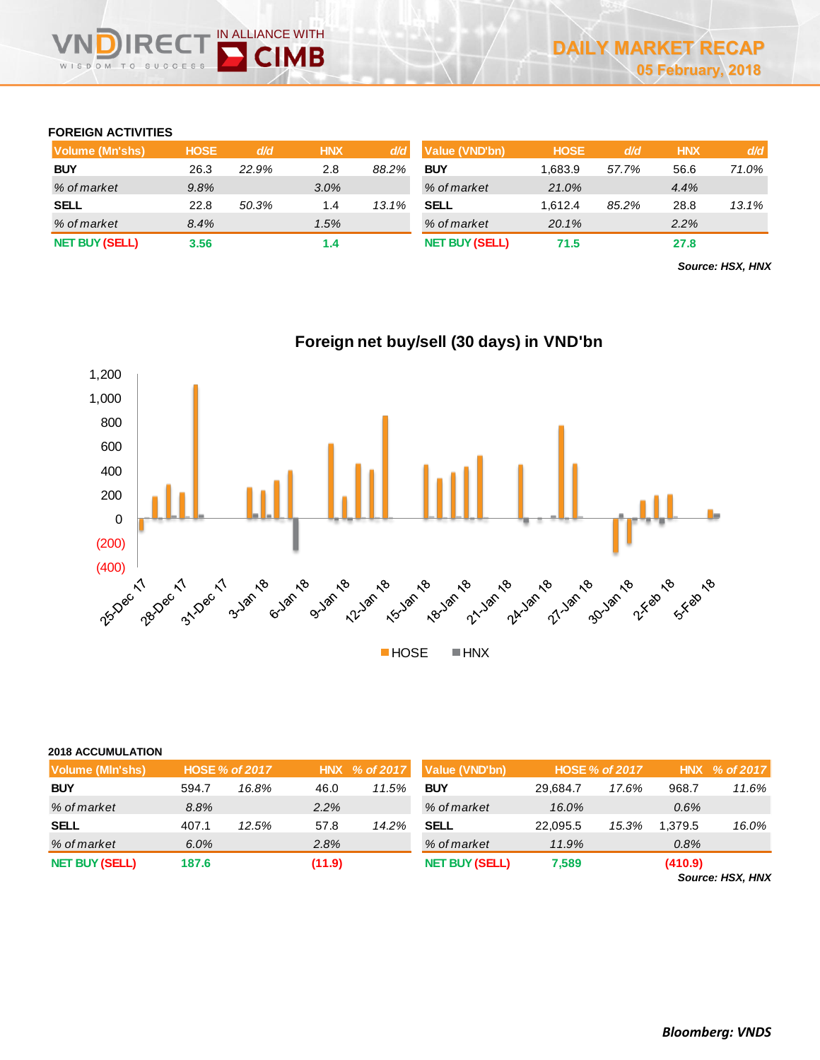## **FOREIGN ACTIVITIES**

| Volume (Mn'shs)       | <b>HOSE</b> | d/d   | <b>HNX</b> | d/d   | <b>Value (VND'bn)</b> | <b>HOSE</b> | d/d   | <b>HNX</b> | d/d   |
|-----------------------|-------------|-------|------------|-------|-----------------------|-------------|-------|------------|-------|
| <b>BUY</b>            | 26.3        | 22.9% | 2.8        | 88.2% | <b>BUY</b>            | 1.683.9     | 57.7% | 56.6       | 71.0% |
| % of market           | 9.8%        |       | 3.0%       |       | % of market           | 21.0%       |       | 4.4%       |       |
| <b>SELL</b>           | 22.8        | 50.3% | 1.4        | 13.1% | SELL                  | 1.612.4     | 85.2% | 28.8       | 13.1% |
| % of market           | 8.4%        |       | 1.5%       |       | % of market           | 20.1%       |       | 2.2%       |       |
| <b>NET BUY (SELL)</b> | 3.56        |       | 1.4        |       | <b>NET BUY (SELL)</b> | 71.5        |       | 27.8       |       |

*Source: HSX, HNX*



**Foreign net buy/sell (30 days) in VND'bn**

| <b>2018 ACCUMULATION</b> |       |                       |        |               |                       |          |                       |         |               |
|--------------------------|-------|-----------------------|--------|---------------|-----------------------|----------|-----------------------|---------|---------------|
| Volume (MIn'shs)         |       | <b>HOSE % of 2017</b> |        | HNX % of 2017 | Value (VND'bn)        |          | <b>HOSE % of 2017</b> |         | HNX % of 2017 |
| <b>BUY</b>               | 594.7 | 16.8%                 | 46.0   | 11.5%         | <b>BUY</b>            | 29.684.7 | 17.6%                 | 968.7   | 11.6%         |
| % of market              | 8.8%  |                       | 2.2%   |               | % of market           | 16.0%    |                       | 0.6%    |               |
| <b>SELL</b>              | 407.1 | 12.5%                 | 57.8   | 14.2%         | <b>SELL</b>           | 22.095.5 | 15.3%                 | 1.379.5 | 16.0%         |
| % of market              | 6.0%  |                       | 2.8%   |               | % of market           | 11.9%    |                       | 0.8%    |               |
| <b>NET BUY (SELL)</b>    | 187.6 |                       | (11.9) |               | <b>NET BUY (SELL)</b> | 7,589    |                       | (410.9) |               |

*Source: HSX, HNX*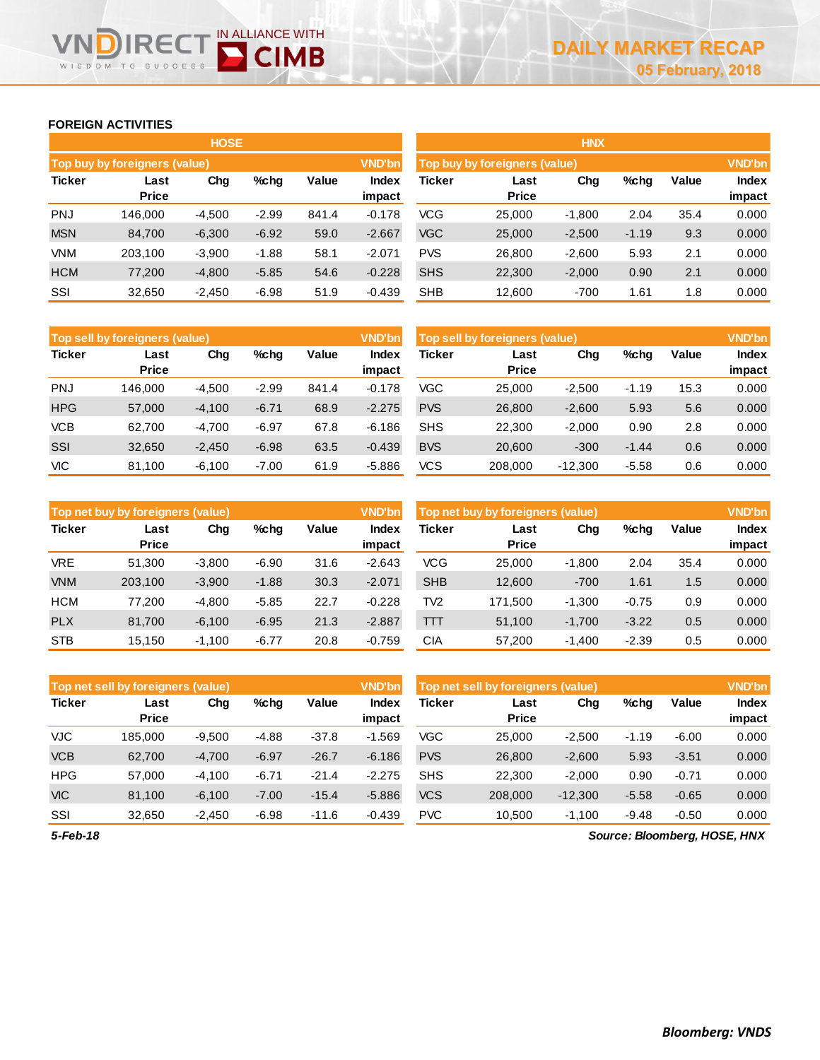## **FOREIGN ACTIVITIES**

WISDOM TO

Ξ(

 $0<sup>o</sup>$ 

IN ALLIANCE WITH

**D** CIMB

|               |                               | <b>HOSE</b> |         |       |                 | <b>HNX</b> |                               |          |         |       |                 |
|---------------|-------------------------------|-------------|---------|-------|-----------------|------------|-------------------------------|----------|---------|-------|-----------------|
|               | Top buy by foreigners (value) |             |         |       | <b>VND'bn</b>   |            | Top buy by foreigners (value) |          |         |       | <b>VND'bn</b>   |
| <b>Ticker</b> | Last<br><b>Price</b>          | Chg         | %chq    | Value | Index<br>impact | Ticker     | Last<br><b>Price</b>          | Chg      | %chg    | Value | Index<br>impact |
| <b>PNJ</b>    | 146,000                       | $-4,500$    | $-2.99$ | 841.4 | $-0.178$        | VCG        | 25,000                        | $-1,800$ | 2.04    | 35.4  | 0.000           |
| <b>MSN</b>    | 84,700                        | $-6,300$    | $-6.92$ | 59.0  | $-2.667$        | <b>VGC</b> | 25,000                        | $-2,500$ | $-1.19$ | 9.3   | 0.000           |
| <b>VNM</b>    | 203.100                       | $-3,900$    | $-1.88$ | 58.1  | $-2.071$        | <b>PVS</b> | 26,800                        | $-2,600$ | 5.93    | 2.1   | 0.000           |
| <b>HCM</b>    | 77,200                        | $-4,800$    | $-5.85$ | 54.6  | $-0.228$        | <b>SHS</b> | 22,300                        | $-2,000$ | 0.90    | 2.1   | 0.000           |
| SSI           | 32,650                        | $-2,450$    | $-6.98$ | 51.9  | $-0.439$        | <b>SHB</b> | 12,600                        | $-700$   | 1.61    | 1.8   | 0.000           |

|               | <b>Top sell by foreigners (value)</b> |          |         |       |                 | Top sell by foreigners (value), |                      | <b>VND'bn</b> |         |       |                 |
|---------------|---------------------------------------|----------|---------|-------|-----------------|---------------------------------|----------------------|---------------|---------|-------|-----------------|
| <b>Ticker</b> | Last<br><b>Price</b>                  | Chg      | %chg    | Value | Index<br>impact | <b>Ticker</b>                   | Last<br><b>Price</b> | Chg           | %chg    | Value | Index<br>impact |
| <b>PNJ</b>    | 146.000                               | $-4,500$ | $-2.99$ | 841.4 | $-0.178$        | VGC                             | 25,000               | $-2,500$      | $-1.19$ | 15.3  | 0.000           |
| <b>HPG</b>    | 57,000                                | $-4,100$ | $-6.71$ | 68.9  | $-2.275$        | <b>PVS</b>                      | 26,800               | $-2,600$      | 5.93    | 5.6   | 0.000           |
| <b>VCB</b>    | 62.700                                | $-4.700$ | $-6.97$ | 67.8  | $-6.186$        | <b>SHS</b>                      | 22.300               | $-2.000$      | 0.90    | 2.8   | 0.000           |
| <b>SSI</b>    | 32,650                                | $-2,450$ | $-6.98$ | 63.5  | $-0.439$        | <b>BVS</b>                      | 20,600               | $-300$        | $-1.44$ | 0.6   | 0.000           |
| <b>VIC</b>    | 81,100                                | $-6,100$ | $-7.00$ | 61.9  | $-5.886$        | <b>VCS</b>                      | 208,000              | $-12,300$     | $-5.58$ | 0.6   | 0.000           |

|               | Top net buy by foreigners (value) |          |         |       |                 | Top net buy by foreigners (value) |                      |          |         |       |                        |
|---------------|-----------------------------------|----------|---------|-------|-----------------|-----------------------------------|----------------------|----------|---------|-------|------------------------|
| <b>Ticker</b> | Last<br><b>Price</b>              | Chg      | $%$ chq | Value | Index<br>impact | <b>Ticker</b>                     | Last<br><b>Price</b> | Chg      | %chg    | Value | <b>Index</b><br>impact |
| <b>VRE</b>    | 51.300                            | $-3,800$ | $-6.90$ | 31.6  | $-2.643$        | <b>VCG</b>                        | 25,000               | $-1,800$ | 2.04    | 35.4  | 0.000                  |
| <b>VNM</b>    | 203.100                           | $-3,900$ | $-1.88$ | 30.3  | $-2.071$        | <b>SHB</b>                        | 12,600               | $-700$   | 1.61    | 1.5   | 0.000                  |
| <b>HCM</b>    | 77.200                            | $-4,800$ | $-5.85$ | 22.7  | $-0.228$        | TV <sub>2</sub>                   | 171.500              | $-1,300$ | $-0.75$ | 0.9   | 0.000                  |
| <b>PLX</b>    | 81,700                            | $-6.100$ | $-6.95$ | 21.3  | $-2.887$        | TT                                | 51.100               | $-1.700$ | $-3.22$ | 0.5   | 0.000                  |
| <b>STB</b>    | 15.150                            | $-1.100$ | $-6.77$ | 20.8  | $-0.759$        | CIA                               | 57.200               | $-1.400$ | $-2.39$ | 0.5   | 0.000                  |

|               | Top net sell by foreigners (value) |          |         |         |                 | <b>VND'bn</b><br>Top net sell by foreigners (value) |                      |           |         |         | <b>VND'bn</b>                |
|---------------|------------------------------------|----------|---------|---------|-----------------|-----------------------------------------------------|----------------------|-----------|---------|---------|------------------------------|
| <b>Ticker</b> | Last<br><b>Price</b>               | Chg      | $%$ chq | Value   | Index<br>impact | Ticker                                              | Last<br><b>Price</b> | Chg       | %chg    | Value   | Index<br>impact              |
| <b>VJC</b>    | 185,000                            | $-9,500$ | $-4.88$ | $-37.8$ | $-1.569$        | VGC                                                 | 25.000               | $-2,500$  | $-1.19$ | $-6.00$ | 0.000                        |
| <b>VCB</b>    | 62,700                             | $-4,700$ | $-6.97$ | $-26.7$ | $-6.186$        | <b>PVS</b>                                          | 26,800               | $-2,600$  | 5.93    | $-3.51$ | 0.000                        |
| <b>HPG</b>    | 57.000                             | $-4,100$ | $-6.71$ | $-21.4$ | $-2.275$        | <b>SHS</b>                                          | 22,300               | $-2,000$  | 0.90    | $-0.71$ | 0.000                        |
| <b>VIC</b>    | 81,100                             | $-6,100$ | $-7.00$ | $-15.4$ | $-5.886$        | <b>VCS</b>                                          | 208,000              | $-12,300$ | $-5.58$ | $-0.65$ | 0.000                        |
| SSI           | 32,650                             | $-2,450$ | $-6.98$ | $-11.6$ | $-0.439$        | <b>PVC</b>                                          | 10.500               | $-1,100$  | $-9.48$ | $-0.50$ | 0.000                        |
| 5-Feb-18      |                                    |          |         |         |                 |                                                     |                      |           |         |         | Source: Bloomberg, HOSE, HNX |

*Source: Bloomberg, HOSE, HNX*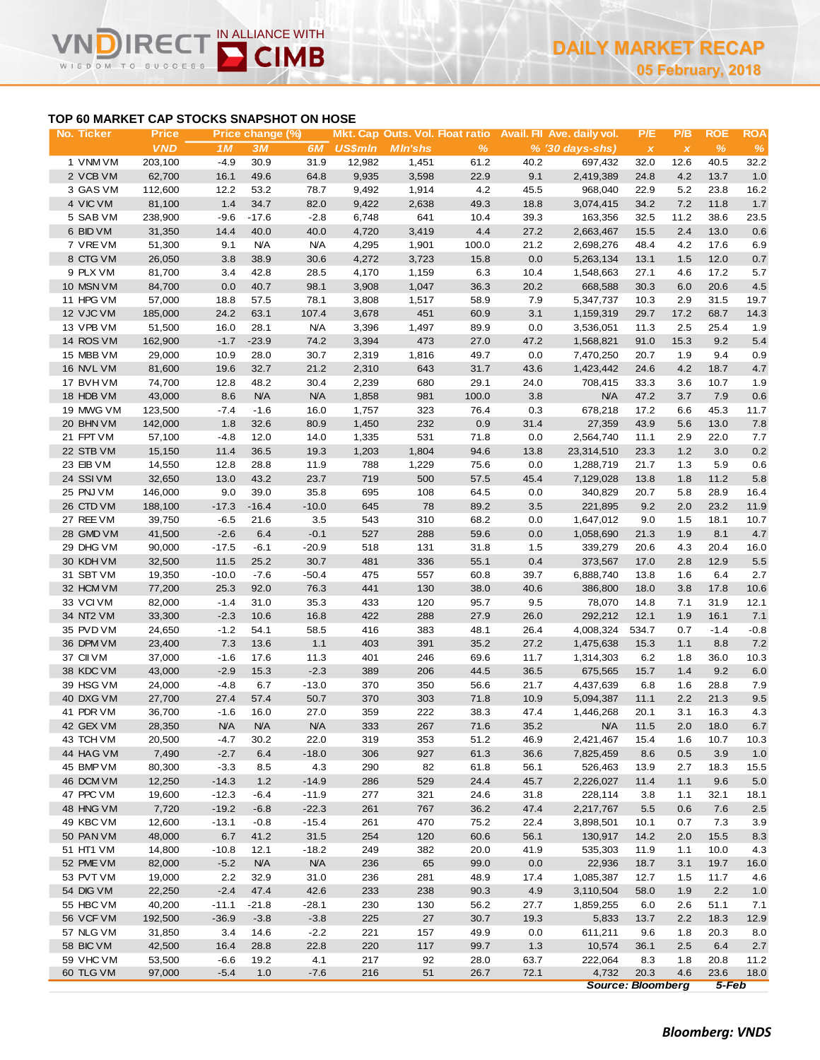# **IN ALLIANCE WITH CIMB** WISDOM TO

# **TOP 60 MARKET CAP STOCKS SNAPSHOT ON HOSE**

| No. Ticker             | <b>Price</b>      |                   | Price change (%)   |                       |                | Mkt. Cap Outs. Vol. Float ratio |               |              | Avail. Fil Ave. daily vol.  | P/E           | P/B          | <b>ROE</b>     | <b>ROA</b>    |
|------------------------|-------------------|-------------------|--------------------|-----------------------|----------------|---------------------------------|---------------|--------------|-----------------------------|---------------|--------------|----------------|---------------|
|                        | <b>VND</b>        | 1M                | 3M                 | 6M                    | <b>US\$mln</b> | <b>MIn'shs</b>                  | $\%$          |              | $% (30 \, \text{days-shs})$ | $\pmb{\chi}$  | $\pmb{\chi}$ | $\%$           | $\%$          |
| 1 VNM VM               | 203,100           | $-4.9$            | 30.9               | 31.9                  | 12,982         | 1,451                           | 61.2          | 40.2         | 697,432                     | 32.0          | 12.6         | 40.5           | 32.2          |
| 2 VCB VM               | 62,700            | 16.1              | 49.6               | 64.8                  | 9,935          | 3,598                           | 22.9          | 9.1          | 2,419,389                   | 24.8          | 4.2          | 13.7           | 1.0           |
| 3 GAS VM<br>4 VIC VM   | 112,600<br>81,100 | 12.2<br>1.4       | 53.2<br>34.7       | 78.7<br>82.0          | 9,492<br>9,422 | 1,914                           | 4.2<br>49.3   | 45.5         | 968,040                     | 22.9<br>34.2  | 5.2<br>7.2   | 23.8<br>11.8   | 16.2<br>1.7   |
| 5 SAB VM               | 238,900           | $-9.6$            | $-17.6$            | $-2.8$                | 6,748          | 2,638<br>641                    | 10.4          | 18.8<br>39.3 | 3,074,415<br>163,356        | 32.5          | 11.2         | 38.6           | 23.5          |
| 6 BID VM               | 31,350            | 14.4              | 40.0               | 40.0                  | 4,720          | 3,419                           | 4.4           | 27.2         | 2,663,467                   | 15.5          | 2.4          | 13.0           | 0.6           |
| 7 VREVM                | 51,300            | 9.1               | <b>N/A</b>         | <b>N/A</b>            | 4,295          | 1,901                           | 100.0         | 21.2         | 2,698,276                   | 48.4          | 4.2          | 17.6           | 6.9           |
| 8 CTG VM               | 26,050            | 3.8               | 38.9               | 30.6                  | 4,272          | 3,723                           | 15.8          | 0.0          | 5,263,134                   | 13.1          | 1.5          | 12.0           | 0.7           |
| 9 PLX VM               | 81,700            | 3.4               | 42.8               | 28.5                  | 4,170          | 1,159                           | 6.3           | 10.4         | 1,548,663                   | 27.1          | 4.6          | 17.2           | 5.7           |
| 10 MSN VM              | 84,700            | 0.0               | 40.7               | 98.1                  | 3,908          | 1,047                           | 36.3          | 20.2         | 668,588                     | 30.3          | 6.0          | 20.6           | 4.5           |
| 11 HPG VM              | 57,000            | 18.8              | 57.5               | 78.1                  | 3,808          | 1,517                           | 58.9          | 7.9          | 5,347,737                   | 10.3          | 2.9          | 31.5           | 19.7          |
| 12 VJC VM              | 185,000           | 24.2              | 63.1               | 107.4                 | 3,678          | 451                             | 60.9          | 3.1          | 1,159,319                   | 29.7          | 17.2         | 68.7           | 14.3          |
| 13 VPB VM              | 51,500            | 16.0              | 28.1               | <b>N/A</b>            | 3,396          | 1,497                           | 89.9          | 0.0          | 3,536,051                   | 11.3          | 2.5          | 25.4           | 1.9           |
| 14 ROS VM              | 162,900           | $-1.7$            | $-23.9$            | 74.2                  | 3,394          | 473                             | 27.0          | 47.2         | 1,568,821                   | 91.0          | 15.3         | 9.2            | 5.4           |
| 15 MBB VM              | 29,000            | 10.9              | 28.0               | 30.7                  | 2,319          | 1,816                           | 49.7          | 0.0          | 7,470,250                   | 20.7          | 1.9          | 9.4            | 0.9           |
| 16 NVL VM              | 81,600            | 19.6              | 32.7               | 21.2                  | 2,310          | 643                             | 31.7          | 43.6         | 1,423,442                   | 24.6          | 4.2          | 18.7           | 4.7           |
| 17 BVHVM<br>18 HDB VM  | 74,700<br>43,000  | 12.8<br>8.6       | 48.2<br><b>N/A</b> | 30.4<br><b>N/A</b>    | 2,239<br>1,858 | 680<br>981                      | 29.1<br>100.0 | 24.0<br>3.8  | 708,415<br><b>N/A</b>       | 33.3<br>47.2  | 3.6<br>3.7   | 10.7<br>7.9    | 1.9<br>0.6    |
| 19 MWG VM              | 123,500           | $-7.4$            | $-1.6$             | 16.0                  | 1,757          | 323                             | 76.4          | 0.3          | 678,218                     | 17.2          | 6.6          | 45.3           | 11.7          |
| 20 BHN VM              | 142,000           | 1.8               | 32.6               | 80.9                  | 1,450          | 232                             | 0.9           | 31.4         | 27,359                      | 43.9          | 5.6          | 13.0           | 7.8           |
| 21 FPT VM              | 57,100            | $-4.8$            | 12.0               | 14.0                  | 1,335          | 531                             | 71.8          | 0.0          | 2,564,740                   | 11.1          | 2.9          | 22.0           | 7.7           |
| 22 STB VM              | 15,150            | 11.4              | 36.5               | 19.3                  | 1,203          | 1,804                           | 94.6          | 13.8         | 23,314,510                  | 23.3          | 1.2          | 3.0            | 0.2           |
| 23 EIB VM              | 14,550            | 12.8              | 28.8               | 11.9                  | 788            | 1,229                           | 75.6          | 0.0          | 1,288,719                   | 21.7          | 1.3          | 5.9            | 0.6           |
| 24 SSIVM               | 32,650            | 13.0              | 43.2               | 23.7                  | 719            | 500                             | 57.5          | 45.4         | 7,129,028                   | 13.8          | 1.8          | 11.2           | 5.8           |
| 25 PNJ VM              | 146,000           | 9.0               | 39.0               | 35.8                  | 695            | 108                             | 64.5          | 0.0          | 340,829                     | 20.7          | 5.8          | 28.9           | 16.4          |
| 26 CTD VM              | 188,100           | $-17.3$           | $-16.4$            | $-10.0$               | 645            | 78                              | 89.2          | 3.5          | 221,895                     | 9.2           | 2.0          | 23.2           | 11.9          |
| 27 REE VM              | 39,750            | $-6.5$            | 21.6               | 3.5                   | 543            | 310                             | 68.2          | 0.0          | 1,647,012                   | 9.0           | 1.5          | 18.1           | 10.7          |
| 28 GMD VM              | 41,500            | $-2.6$            | 6.4                | $-0.1$                | 527            | 288                             | 59.6          | 0.0          | 1,058,690                   | 21.3          | 1.9          | 8.1            | 4.7           |
| 29 DHG VM              | 90,000            | $-17.5$           | $-6.1$             | $-20.9$               | 518            | 131                             | 31.8          | 1.5          | 339,279                     | 20.6          | 4.3          | 20.4           | 16.0          |
| 30 KDH VM              | 32,500            | 11.5              | 25.2               | 30.7                  | 481            | 336                             | 55.1          | 0.4          | 373,567                     | 17.0          | 2.8          | 12.9           | 5.5           |
| 31 SBT VM              | 19,350            | $-10.0$           | $-7.6$             | $-50.4$               | 475            | 557                             | 60.8          | 39.7         | 6,888,740                   | 13.8          | 1.6          | 6.4            | 2.7           |
| 32 HCM VM              | 77,200            | 25.3              | 92.0               | 76.3                  | 441            | 130                             | 38.0          | 40.6         | 386,800                     | 18.0          | 3.8          | 17.8           | 10.6          |
| 33 VCIVM               | 82,000            | $-1.4$            | 31.0               | 35.3                  | 433            | 120                             | 95.7          | 9.5          | 78,070                      | 14.8          | 7.1          | 31.9           | 12.1          |
| 34 NT2 VM<br>35 PVD VM | 33,300<br>24,650  | $-2.3$<br>$-1.2$  | 10.6<br>54.1       | 16.8<br>58.5          | 422<br>416     | 288<br>383                      | 27.9<br>48.1  | 26.0<br>26.4 | 292,212<br>4,008,324        | 12.1<br>534.7 | 1.9<br>0.7   | 16.1<br>$-1.4$ | 7.1<br>$-0.8$ |
| 36 DPM VM              | 23,400            | 7.3               | 13.6               | 1.1                   | 403            | 391                             | 35.2          | 27.2         | 1,475,638                   | 15.3          | 1.1          | 8.8            | 7.2           |
| 37 CII VM              | 37,000            | $-1.6$            | 17.6               | 11.3                  | 401            | 246                             | 69.6          | 11.7         | 1,314,303                   | 6.2           | 1.8          | 36.0           | 10.3          |
| 38 KDC VM              | 43,000            | $-2.9$            | 15.3               | $-2.3$                | 389            | 206                             | 44.5          | 36.5         | 675,565                     | 15.7          | 1.4          | 9.2            | 6.0           |
| 39 HSG VM              | 24,000            | $-4.8$            | 6.7                | $-13.0$               | 370            | 350                             | 56.6          | 21.7         | 4,437,639                   | 6.8           | 1.6          | 28.8           | 7.9           |
| 40 DXG VM              | 27,700            | 27.4              | 57.4               | 50.7                  | 370            | 303                             | 71.8          | 10.9         | 5,094,387                   | 11.1          | 2.2          | 21.3           | 9.5           |
| 41 PDR VM              | 36,700            | $-1.6$            | 16.0               | 27.0                  | 359            | 222                             | 38.3          | 47.4         | 1,446,268                   | 20.1          | 3.1          | 16.3           | 4.3           |
| 42 GEX VM              | 28,350            | <b>N/A</b>        | <b>N/A</b>         | <b>N/A</b>            | 333            | 267                             | 71.6          | 35.2         | <b>N/A</b>                  | 11.5          | 2.0          | 18.0           | 6.7           |
| 43 TCH VM              | 20,500            | $-4.7$            | 30.2               | 22.0                  | 319            | 353                             | 51.2          | 46.9         | 2,421,467                   | 15.4          | 1.6          | 10.7           | 10.3          |
| 44 HAG VM              | 7,490             | $-2.7$            | 6.4                | $-18.0$               | 306            | 927                             | 61.3          | 36.6         | 7,825,459                   | 8.6           | 0.5          | 3.9            | 1.0           |
| 45 BMP VM              | 80,300            | $-3.3$            | 8.5                | 4.3                   | 290            | 82                              | 61.8          | 56.1         | 526,463                     | 13.9          | 2.7          | 18.3           | 15.5          |
| 46 DCM VM              | 12,250            | $-14.3$           | 1.2                | $-14.9$               | 286            | 529                             | 24.4          | 45.7         | 2,226,027                   | 11.4          | 1.1          | 9.6            | 5.0           |
| 47 PPC VM              | 19,600            | $-12.3$           | $-6.4$             | $-11.9$               | 277            | 321                             | 24.6          | 31.8         | 228,114                     | 3.8           | 1.1          | 32.1           | 18.1          |
| 48 HNG VM              | 7,720             | $-19.2$           | $-6.8$             | $-22.3$               | 261            | 767                             | 36.2          | 47.4         | 2,217,767                   | 5.5           | 0.6          | 7.6            | 2.5           |
| 49 KBC VM              | 12,600            | $-13.1$           | $-0.8$             | $-15.4$               | 261            | 470                             | 75.2          | 22.4         | 3,898,501                   | 10.1          | 0.7          | 7.3            | 3.9           |
| 50 PAN VM              | 48,000            | 6.7               | 41.2               | 31.5                  | 254            | 120                             | 60.6          | 56.1         | 130,917                     | 14.2          | 2.0          | 15.5           | 8.3           |
| 51 HT1 VM<br>52 PME VM | 14,800<br>82,000  | $-10.8$<br>$-5.2$ | 12.1<br><b>N/A</b> | $-18.2$<br><b>N/A</b> | 249<br>236     | 382<br>65                       | 20.0<br>99.0  | 41.9<br>0.0  | 535,303<br>22,936           | 11.9<br>18.7  | 1.1<br>3.1   | 10.0<br>19.7   | 4.3<br>16.0   |
| 53 PVT VM              | 19,000            | 2.2               | 32.9               | 31.0                  | 236            | 281                             | 48.9          | 17.4         | 1,085,387                   | 12.7          | 1.5          | 11.7           | 4.6           |
| 54 DIG VM              | 22,250            | $-2.4$            | 47.4               | 42.6                  | 233            | 238                             | 90.3          | 4.9          | 3,110,504                   | 58.0          | 1.9          | 2.2            | 1.0           |
| 55 HBC VM              | 40,200            | $-11.1$           | $-21.8$            | $-28.1$               | 230            | 130                             | 56.2          | 27.7         | 1,859,255                   | 6.0           | 2.6          | 51.1           | 7.1           |
| 56 VCF VM              | 192,500           | $-36.9$           | $-3.8$             | $-3.8$                | 225            | 27                              | 30.7          | 19.3         | 5,833                       | 13.7          | 2.2          | 18.3           | 12.9          |
| 57 NLG VM              | 31,850            | 3.4               | 14.6               | $-2.2$                | 221            | 157                             | 49.9          | 0.0          | 611,211                     | 9.6           | 1.8          | 20.3           | 8.0           |
| 58 BIC VM              | 42,500            | 16.4              | 28.8               | 22.8                  | 220            | 117                             | 99.7          | 1.3          | 10,574                      | 36.1          | 2.5          | 6.4            | 2.7           |
| 59 VHC VM              | 53,500            | $-6.6$            | 19.2               | 4.1                   | 217            | 92                              | 28.0          | 63.7         | 222,064                     | 8.3           | 1.8          | 20.8           | 11.2          |
| 60 TLG VM              | 97,000            | $-5.4$            | 1.0                | $-7.6$                | 216            | 51                              | 26.7          | 72.1         | 4,732                       | 20.3          | 4.6          | 23.6           | 18.0          |

*Source: Bloomberg 5-Feb*